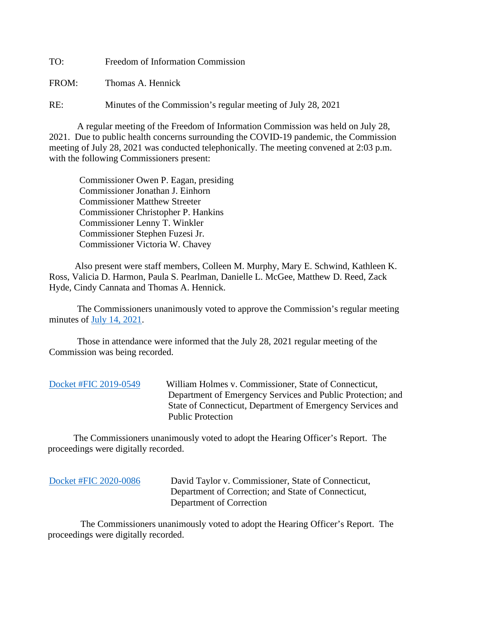TO: Freedom of Information Commission

FROM: Thomas A. Hennick

RE: Minutes of the Commission's regular meeting of July 28, 2021

A regular meeting of the Freedom of Information Commission was held on July 28, 2021. Due to public health concerns surrounding the COVID-19 pandemic, the Commission meeting of July 28, 2021 was conducted telephonically. The meeting convened at 2:03 p.m. with the following Commissioners present:

 Commissioner Owen P. Eagan, presiding Commissioner Jonathan J. Einhorn Commissioner Matthew Streeter Commissioner Christopher P. Hankins Commissioner Lenny T. Winkler Commissioner Stephen Fuzesi Jr. Commissioner Victoria W. Chavey

 Also present were staff members, Colleen M. Murphy, Mary E. Schwind, Kathleen K. Ross, Valicia D. Harmon, Paula S. Pearlman, Danielle L. McGee, Matthew D. Reed, Zack Hyde, Cindy Cannata and Thomas A. Hennick.

The Commissioners unanimously voted to approve the Commission's regular meeting minutes of [July 14, 2021.](https://portal.ct.gov/-/media/FOI/Minutes/2021/Minutes-7-14-2021.pdf)

 Those in attendance were informed that the July 28, 2021 regular meeting of the Commission was being recorded.

[Docket #FIC 2019-0549](https://portal.ct.gov/-/media/FOI/FinalDecisions/2021/JuL28/2019-0549.pdf) William Holmes v. Commissioner, State of Connecticut, Department of Emergency Services and Public Protection; and State of Connecticut, Department of Emergency Services and Public Protection

 The Commissioners unanimously voted to adopt the Hearing Officer's Report. The proceedings were digitally recorded.

[Docket #FIC 2020-0086](https://portal.ct.gov/-/media/FOI/FinalDecisions/2021/JuL28/2020-0086.pdf) David Taylor v. Commissioner, State of Connecticut, Department of Correction; and State of Connecticut, Department of Correction

 The Commissioners unanimously voted to adopt the Hearing Officer's Report. The proceedings were digitally recorded.